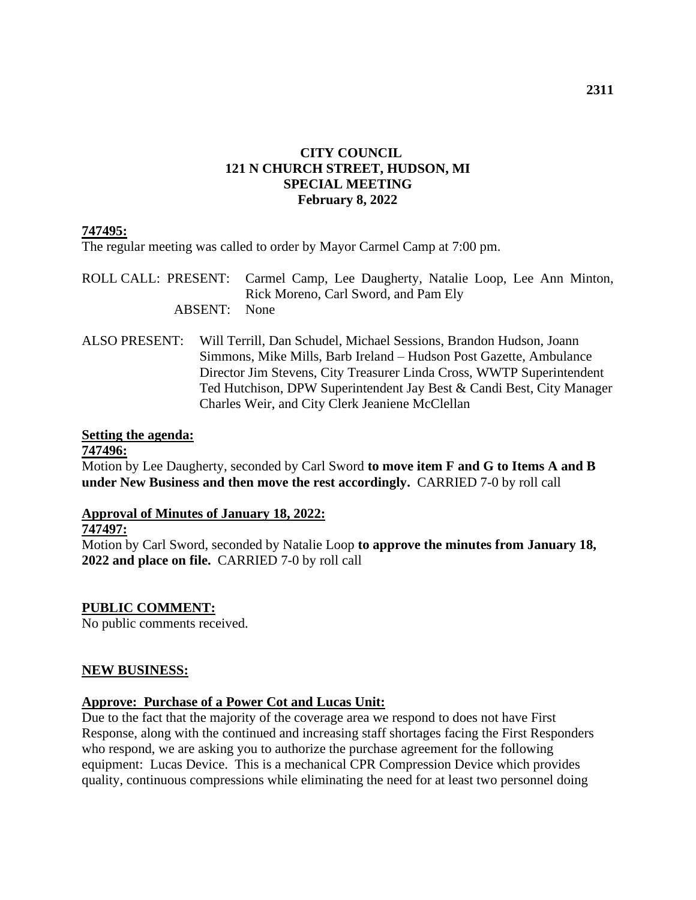## **CITY COUNCIL 121 N CHURCH STREET, HUDSON, MI SPECIAL MEETING February 8, 2022**

### **747495:**

The regular meeting was called to order by Mayor Carmel Camp at 7:00 pm.

ROLL CALL: PRESENT: Carmel Camp, Lee Daugherty, Natalie Loop, Lee Ann Minton, Rick Moreno, Carl Sword, and Pam Ely ABSENT: None

ALSO PRESENT: Will Terrill, Dan Schudel, Michael Sessions, Brandon Hudson, Joann Simmons, Mike Mills, Barb Ireland – Hudson Post Gazette, Ambulance Director Jim Stevens, City Treasurer Linda Cross, WWTP Superintendent Ted Hutchison, DPW Superintendent Jay Best & Candi Best, City Manager Charles Weir, and City Clerk Jeaniene McClellan

#### **Setting the agenda:**

**747496:**

Motion by Lee Daugherty, seconded by Carl Sword **to move item F and G to Items A and B under New Business and then move the rest accordingly.** CARRIED 7-0 by roll call

# **Approval of Minutes of January 18, 2022:**

#### **747497:**

Motion by Carl Sword, seconded by Natalie Loop **to approve the minutes from January 18, 2022 and place on file.** CARRIED 7-0 by roll call

# **PUBLIC COMMENT:**

No public comments received.

#### **NEW BUSINESS:**

#### **Approve: Purchase of a Power Cot and Lucas Unit:**

Due to the fact that the majority of the coverage area we respond to does not have First Response, along with the continued and increasing staff shortages facing the First Responders who respond, we are asking you to authorize the purchase agreement for the following equipment: Lucas Device. This is a mechanical CPR Compression Device which provides quality, continuous compressions while eliminating the need for at least two personnel doing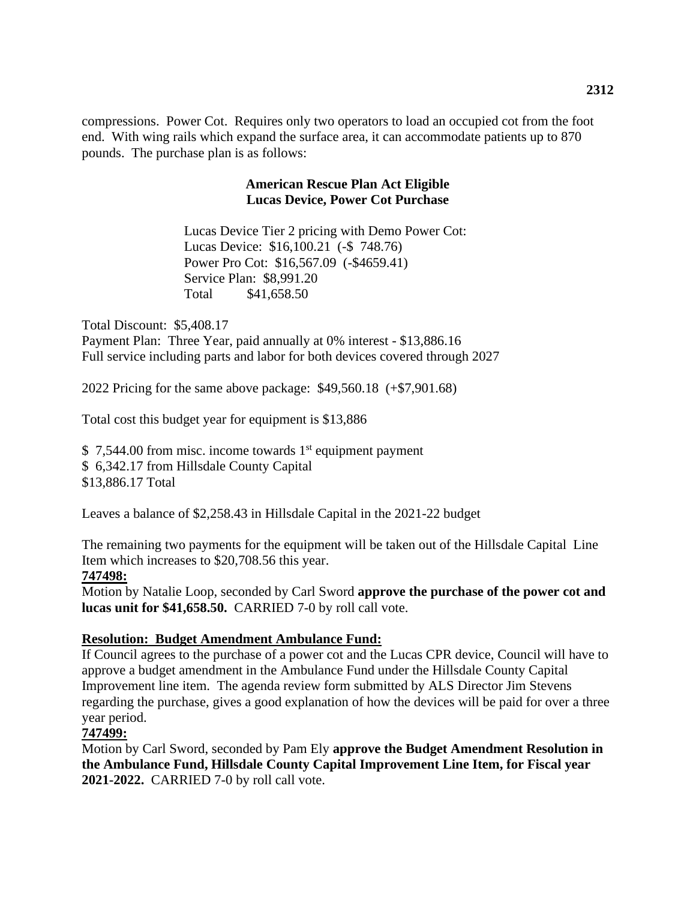compressions. Power Cot. Requires only two operators to load an occupied cot from the foot end. With wing rails which expand the surface area, it can accommodate patients up to 870 pounds. The purchase plan is as follows:

#### **American Rescue Plan Act Eligible Lucas Device, Power Cot Purchase**

Lucas Device Tier 2 pricing with Demo Power Cot: Lucas Device: \$16,100.21 (-\$ 748.76) Power Pro Cot: \$16,567.09 (-\$4659.41) Service Plan: \$8,991.20 Total \$41,658.50

Total Discount: \$5,408.17 Payment Plan: Three Year, paid annually at 0% interest - \$13,886.16 Full service including parts and labor for both devices covered through 2027

2022 Pricing for the same above package: \$49,560.18 (+\$7,901.68)

Total cost this budget year for equipment is \$13,886

 $$7,544.00$  from misc. income towards 1<sup>st</sup> equipment payment \$ 6,342.17 from Hillsdale County Capital \$13,886.17 Total

Leaves a balance of \$2,258.43 in Hillsdale Capital in the 2021-22 budget

The remaining two payments for the equipment will be taken out of the Hillsdale Capital Line Item which increases to \$20,708.56 this year.

#### **747498:**

Motion by Natalie Loop, seconded by Carl Sword **approve the purchase of the power cot and lucas unit for \$41,658.50.** CARRIED 7-0 by roll call vote.

# **Resolution: Budget Amendment Ambulance Fund:**

If Council agrees to the purchase of a power cot and the Lucas CPR device, Council will have to approve a budget amendment in the Ambulance Fund under the Hillsdale County Capital Improvement line item. The agenda review form submitted by ALS Director Jim Stevens regarding the purchase, gives a good explanation of how the devices will be paid for over a three year period.

# **747499:**

Motion by Carl Sword, seconded by Pam Ely **approve the Budget Amendment Resolution in the Ambulance Fund, Hillsdale County Capital Improvement Line Item, for Fiscal year 2021-2022.** CARRIED 7-0 by roll call vote.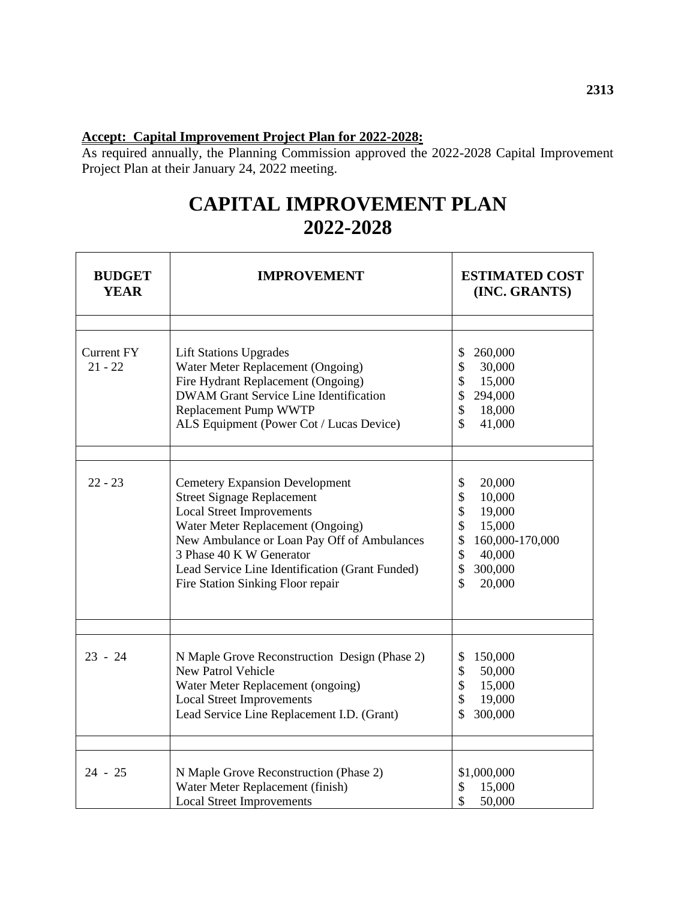# **Accept: Capital Improvement Project Plan for 2022-2028:**

As required annually, the Planning Commission approved the 2022-2028 Capital Improvement Project Plan at their January 24, 2022 meeting.

# **CAPITAL IMPROVEMENT PLAN 2022-2028**

| <b>BUDGET</b><br><b>YEAR</b>   | <b>IMPROVEMENT</b>                                                                                                                                                                                                                                                                                                     | <b>ESTIMATED COST</b><br>(INC. GRANTS)                                                                                                                      |  |  |
|--------------------------------|------------------------------------------------------------------------------------------------------------------------------------------------------------------------------------------------------------------------------------------------------------------------------------------------------------------------|-------------------------------------------------------------------------------------------------------------------------------------------------------------|--|--|
| <b>Current FY</b><br>$21 - 22$ | <b>Lift Stations Upgrades</b><br>Water Meter Replacement (Ongoing)<br>Fire Hydrant Replacement (Ongoing)<br><b>DWAM Grant Service Line Identification</b><br>Replacement Pump WWTP<br>ALS Equipment (Power Cot / Lucas Device)                                                                                         | \$<br>260,000<br>\$<br>30,000<br>\$<br>15,000<br>\$<br>294,000<br>\$<br>18,000<br>\$<br>41,000                                                              |  |  |
| $22 - 23$                      | <b>Cemetery Expansion Development</b><br><b>Street Signage Replacement</b><br><b>Local Street Improvements</b><br>Water Meter Replacement (Ongoing)<br>New Ambulance or Loan Pay Off of Ambulances<br>3 Phase 40 K W Generator<br>Lead Service Line Identification (Grant Funded)<br>Fire Station Sinking Floor repair | \$<br>20,000<br>\$<br>10,000<br>\$<br>19,000<br>\$<br>15,000<br>160,000-170,000<br>\$<br>\$<br>40,000<br>$\mathbb{S}$<br>300,000<br>$\mathcal{S}$<br>20,000 |  |  |
| $23 - 24$                      | N Maple Grove Reconstruction Design (Phase 2)<br><b>New Patrol Vehicle</b><br>Water Meter Replacement (ongoing)<br><b>Local Street Improvements</b><br>Lead Service Line Replacement I.D. (Grant)                                                                                                                      | 150,000<br>\$<br>\$<br>50,000<br>\$<br>15,000<br>\$<br>19,000<br>300,000                                                                                    |  |  |
| $24 - 25$                      | N Maple Grove Reconstruction (Phase 2)<br>Water Meter Replacement (finish)<br><b>Local Street Improvements</b>                                                                                                                                                                                                         | \$1,000,000<br>\$<br>15,000<br>\$<br>50,000                                                                                                                 |  |  |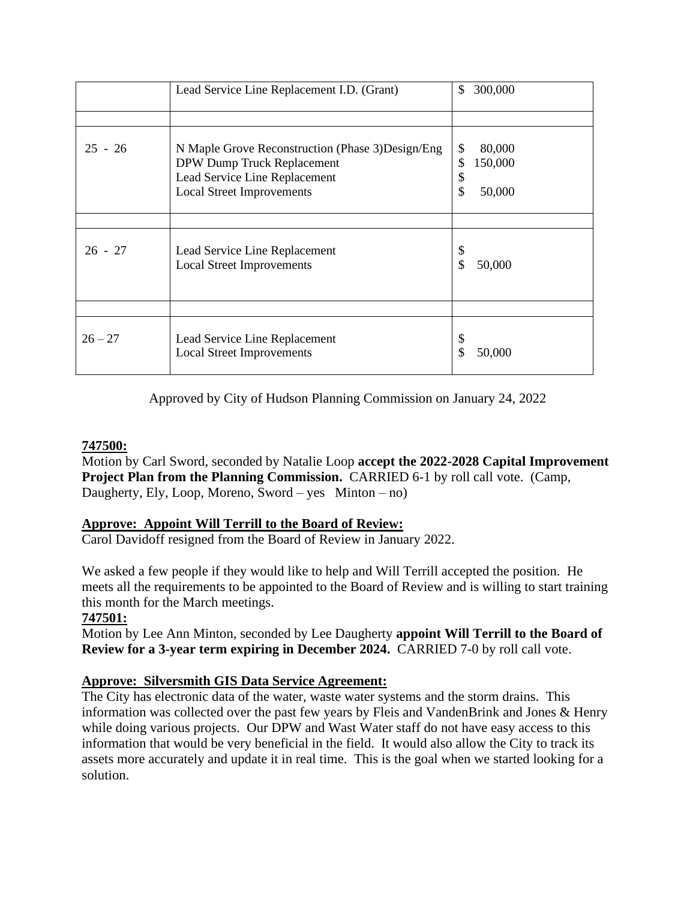|           | Lead Service Line Replacement I.D. (Grant)                                                                                                           | \$                   | 300,000                     |
|-----------|------------------------------------------------------------------------------------------------------------------------------------------------------|----------------------|-----------------------------|
|           |                                                                                                                                                      |                      |                             |
| $25 - 26$ | N Maple Grove Reconstruction (Phase 3) Design/Eng<br>DPW Dump Truck Replacement<br>Lead Service Line Replacement<br><b>Local Street Improvements</b> | \$<br>\$<br>\$<br>\$ | 80,000<br>150,000<br>50,000 |
|           |                                                                                                                                                      |                      |                             |
| $26 - 27$ | Lead Service Line Replacement<br><b>Local Street Improvements</b>                                                                                    | \$<br>\$             | 50,000                      |
|           |                                                                                                                                                      |                      |                             |
| $26 - 27$ | Lead Service Line Replacement<br><b>Local Street Improvements</b>                                                                                    | \$                   | 50,000                      |

Approved by City of Hudson Planning Commission on January 24, 2022

# **747500:**

Motion by Carl Sword, seconded by Natalie Loop **accept the 2022-2028 Capital Improvement Project Plan from the Planning Commission.** CARRIED 6-1 by roll call vote. (Camp, Daugherty, Ely, Loop, Moreno, Sword – yes  $Minton - no$ )

# **Approve: Appoint Will Terrill to the Board of Review:**

Carol Davidoff resigned from the Board of Review in January 2022.

We asked a few people if they would like to help and Will Terrill accepted the position. He meets all the requirements to be appointed to the Board of Review and is willing to start training this month for the March meetings.

# **747501:**

Motion by Lee Ann Minton, seconded by Lee Daugherty **appoint Will Terrill to the Board of Review for a 3-year term expiring in December 2024.** CARRIED 7-0 by roll call vote.

# **Approve: Silversmith GIS Data Service Agreement:**

The City has electronic data of the water, waste water systems and the storm drains. This information was collected over the past few years by Fleis and VandenBrink and Jones & Henry while doing various projects. Our DPW and Wast Water staff do not have easy access to this information that would be very beneficial in the field. It would also allow the City to track its assets more accurately and update it in real time. This is the goal when we started looking for a solution.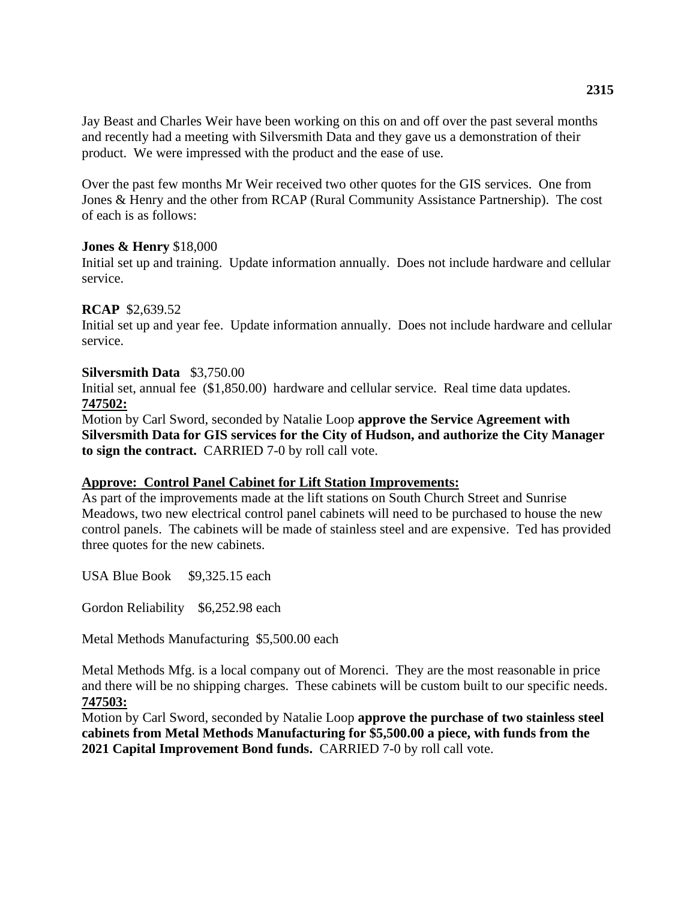Jay Beast and Charles Weir have been working on this on and off over the past several months and recently had a meeting with Silversmith Data and they gave us a demonstration of their product. We were impressed with the product and the ease of use.

Over the past few months Mr Weir received two other quotes for the GIS services. One from Jones & Henry and the other from RCAP (Rural Community Assistance Partnership). The cost of each is as follows:

#### **Jones & Henry** \$18,000

Initial set up and training. Update information annually. Does not include hardware and cellular service.

#### **RCAP** \$2,639.52

Initial set up and year fee. Update information annually. Does not include hardware and cellular service.

#### **Silversmith Data** \$3,750.00

Initial set, annual fee (\$1,850.00) hardware and cellular service. Real time data updates. **747502:**

Motion by Carl Sword, seconded by Natalie Loop **approve the Service Agreement with Silversmith Data for GIS services for the City of Hudson, and authorize the City Manager to sign the contract.** CARRIED 7-0 by roll call vote.

#### **Approve: Control Panel Cabinet for Lift Station Improvements:**

As part of the improvements made at the lift stations on South Church Street and Sunrise Meadows, two new electrical control panel cabinets will need to be purchased to house the new control panels. The cabinets will be made of stainless steel and are expensive. Ted has provided three quotes for the new cabinets.

USA Blue Book \$9,325.15 each

Gordon Reliability \$6,252.98 each

Metal Methods Manufacturing \$5,500.00 each

Metal Methods Mfg. is a local company out of Morenci. They are the most reasonable in price and there will be no shipping charges. These cabinets will be custom built to our specific needs. **747503:**

Motion by Carl Sword, seconded by Natalie Loop **approve the purchase of two stainless steel cabinets from Metal Methods Manufacturing for \$5,500.00 a piece, with funds from the 2021 Capital Improvement Bond funds.** CARRIED 7-0 by roll call vote.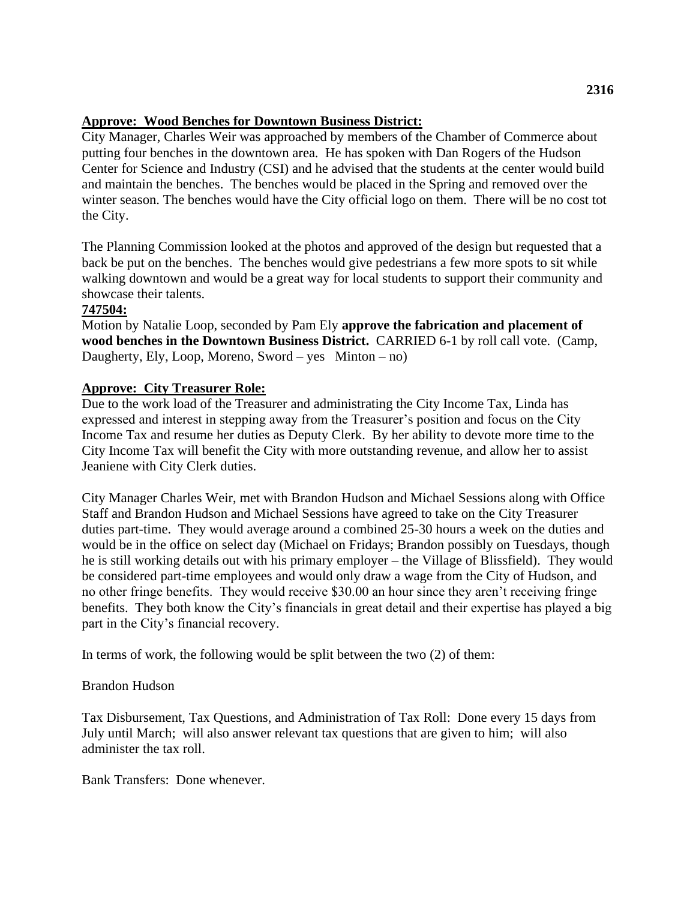#### **Approve: Wood Benches for Downtown Business District:**

City Manager, Charles Weir was approached by members of the Chamber of Commerce about putting four benches in the downtown area. He has spoken with Dan Rogers of the Hudson Center for Science and Industry (CSI) and he advised that the students at the center would build and maintain the benches. The benches would be placed in the Spring and removed over the winter season. The benches would have the City official logo on them. There will be no cost tot the City.

The Planning Commission looked at the photos and approved of the design but requested that a back be put on the benches. The benches would give pedestrians a few more spots to sit while walking downtown and would be a great way for local students to support their community and showcase their talents.

### **747504:**

Motion by Natalie Loop, seconded by Pam Ely **approve the fabrication and placement of wood benches in the Downtown Business District.** CARRIED 6-1 by roll call vote. (Camp, Daugherty, Ely, Loop, Moreno, Sword – yes  $Minton - no$ )

### **Approve: City Treasurer Role:**

Due to the work load of the Treasurer and administrating the City Income Tax, Linda has expressed and interest in stepping away from the Treasurer's position and focus on the City Income Tax and resume her duties as Deputy Clerk. By her ability to devote more time to the City Income Tax will benefit the City with more outstanding revenue, and allow her to assist Jeaniene with City Clerk duties.

City Manager Charles Weir, met with Brandon Hudson and Michael Sessions along with Office Staff and Brandon Hudson and Michael Sessions have agreed to take on the City Treasurer duties part-time. They would average around a combined 25-30 hours a week on the duties and would be in the office on select day (Michael on Fridays; Brandon possibly on Tuesdays, though he is still working details out with his primary employer – the Village of Blissfield). They would be considered part-time employees and would only draw a wage from the City of Hudson, and no other fringe benefits. They would receive \$30.00 an hour since they aren't receiving fringe benefits. They both know the City's financials in great detail and their expertise has played a big part in the City's financial recovery.

In terms of work, the following would be split between the two (2) of them:

#### Brandon Hudson

Tax Disbursement, Tax Questions, and Administration of Tax Roll: Done every 15 days from July until March; will also answer relevant tax questions that are given to him; will also administer the tax roll.

Bank Transfers: Done whenever.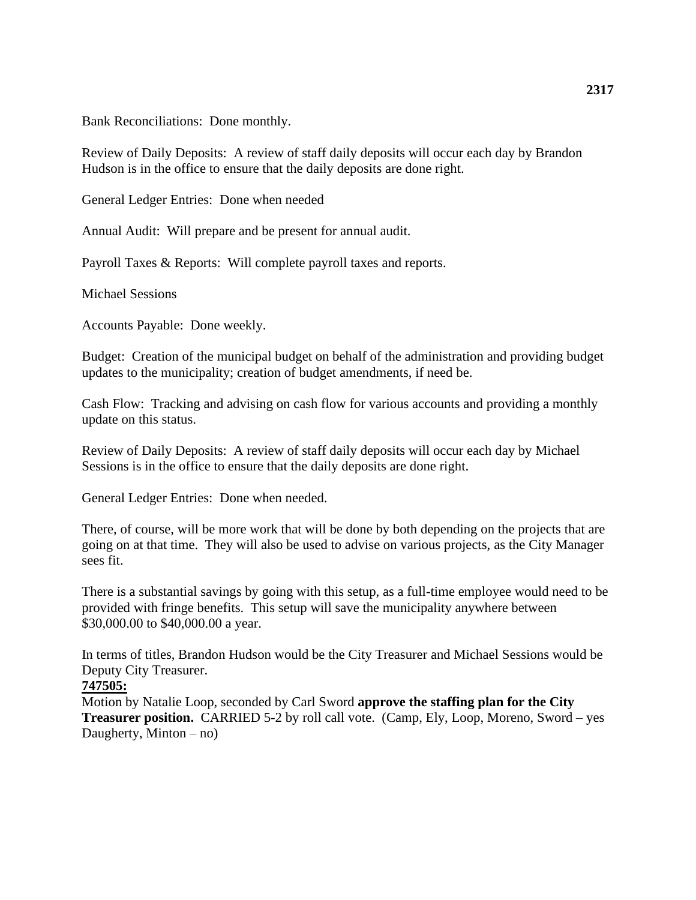Bank Reconciliations: Done monthly.

Review of Daily Deposits: A review of staff daily deposits will occur each day by Brandon Hudson is in the office to ensure that the daily deposits are done right.

General Ledger Entries: Done when needed

Annual Audit: Will prepare and be present for annual audit.

Payroll Taxes & Reports: Will complete payroll taxes and reports.

Michael Sessions

Accounts Payable: Done weekly.

Budget: Creation of the municipal budget on behalf of the administration and providing budget updates to the municipality; creation of budget amendments, if need be.

Cash Flow: Tracking and advising on cash flow for various accounts and providing a monthly update on this status.

Review of Daily Deposits: A review of staff daily deposits will occur each day by Michael Sessions is in the office to ensure that the daily deposits are done right.

General Ledger Entries: Done when needed.

There, of course, will be more work that will be done by both depending on the projects that are going on at that time. They will also be used to advise on various projects, as the City Manager sees fit.

There is a substantial savings by going with this setup, as a full-time employee would need to be provided with fringe benefits. This setup will save the municipality anywhere between \$30,000.00 to \$40,000.00 a year.

In terms of titles, Brandon Hudson would be the City Treasurer and Michael Sessions would be Deputy City Treasurer.

#### **747505:**

Motion by Natalie Loop, seconded by Carl Sword **approve the staffing plan for the City Treasurer position.** CARRIED 5-2 by roll call vote. (Camp, Ely, Loop, Moreno, Sword – yes Daugherty, Minton – no)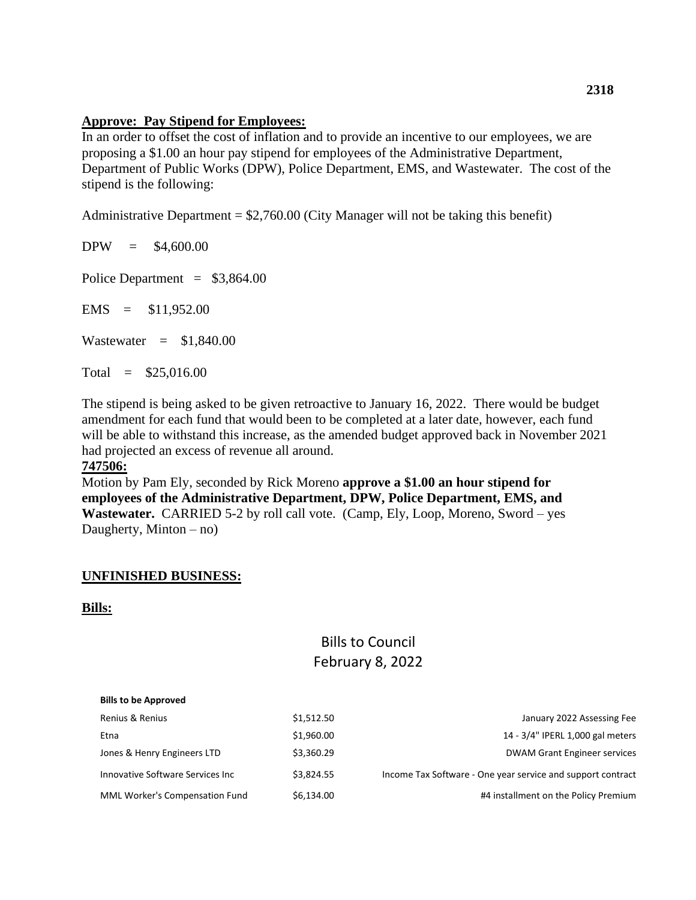#### **Approve: Pay Stipend for Employees:**

In an order to offset the cost of inflation and to provide an incentive to our employees, we are proposing a \$1.00 an hour pay stipend for employees of the Administrative Department, Department of Public Works (DPW), Police Department, EMS, and Wastewater. The cost of the stipend is the following:

Administrative Department  $= $2,760.00$  (City Manager will not be taking this benefit)

 $DPW = $4,600.00$ 

Police Department =  $$3,864.00$ 

 $EMS = $11,952.00$ 

Wastewater  $=$  \$1,840.00

Total = \$25,016.00

The stipend is being asked to be given retroactive to January 16, 2022. There would be budget amendment for each fund that would been to be completed at a later date, however, each fund will be able to withstand this increase, as the amended budget approved back in November 2021 had projected an excess of revenue all around.

## **747506:**

Motion by Pam Ely, seconded by Rick Moreno **approve a \$1.00 an hour stipend for employees of the Administrative Department, DPW, Police Department, EMS, and Wastewater.** CARRIED 5-2 by roll call vote. (Camp, Ely, Loop, Moreno, Sword – yes Daugherty, Minton  $-$  no)

#### **UNFINISHED BUSINESS:**

#### **Bills:**

# Bills to Council February 8, 2022

| <b>Bills to be Approved</b>      |            |                                                             |
|----------------------------------|------------|-------------------------------------------------------------|
| Renius & Renius                  | \$1,512.50 | January 2022 Assessing Fee                                  |
| Etna                             | \$1,960.00 | 14 - 3/4" IPERL 1,000 gal meters                            |
| Jones & Henry Engineers LTD      | \$3,360.29 | <b>DWAM Grant Engineer services</b>                         |
| Innovative Software Services Inc | \$3.824.55 | Income Tax Software - One year service and support contract |
| MML Worker's Compensation Fund   | \$6,134.00 | #4 installment on the Policy Premium                        |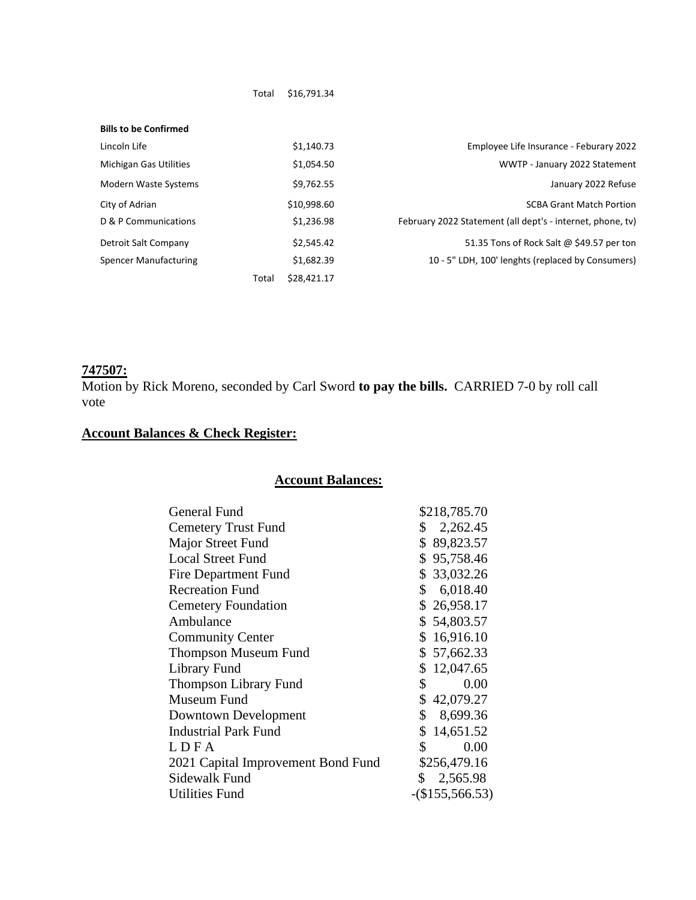| <b>Bills to be Confirmed</b>  |       |             |                                                            |
|-------------------------------|-------|-------------|------------------------------------------------------------|
| Lincoln Life                  |       | \$1,140.73  | Employee Life Insurance - Feburary 2022                    |
| <b>Michigan Gas Utilities</b> |       | \$1,054.50  | WWTP - January 2022 Statement                              |
| <b>Modern Waste Systems</b>   |       | \$9,762.55  | January 2022 Refuse                                        |
| City of Adrian                |       | \$10,998.60 | <b>SCBA Grant Match Portion</b>                            |
| D & P Communications          |       | \$1,236.98  | February 2022 Statement (all dept's - internet, phone, tv) |
| Detroit Salt Company          |       | \$2,545.42  | 51.35 Tons of Rock Salt @ \$49.57 per ton                  |
| Spencer Manufacturing         |       | \$1,682.39  | 10 - 5" LDH, 100' lenghts (replaced by Consumers)          |
|                               | Total | \$28,421.17 |                                                            |

Total \$16,791.34

# **747507:**

Motion by Rick Moreno, seconded by Carl Sword **to pay the bills.** CARRIED 7-0 by roll call vote

# **Account Balances & Check Register:**

## **Account Balances:**

| General Fund                       |              | \$218,785.70      |
|------------------------------------|--------------|-------------------|
| <b>Cemetery Trust Fund</b>         | \$           | 2,262.45          |
| Major Street Fund                  |              | \$89,823.57       |
| <b>Local Street Fund</b>           |              | \$95,758.46       |
| <b>Fire Department Fund</b>        |              | \$33,032.26       |
| <b>Recreation Fund</b>             | \$           | 6,018.40          |
| <b>Cemetery Foundation</b>         |              | \$26,958.17       |
| Ambulance                          |              | \$54,803.57       |
| <b>Community Center</b>            |              | \$16,916.10       |
| <b>Thompson Museum Fund</b>        |              | \$57,662.33       |
| <b>Library Fund</b>                |              | \$12,047.65       |
| Thompson Library Fund              | \$           | 0.00              |
| Museum Fund                        |              | \$42,079.27       |
| Downtown Development               | $\mathbb{S}$ | 8,699.36          |
| <b>Industrial Park Fund</b>        |              | \$14,651.52       |
| LDFA                               | \$           | 0.00              |
| 2021 Capital Improvement Bond Fund |              | \$256,479.16      |
| Sidewalk Fund                      | \$           | 2,565.98          |
| <b>Utilities Fund</b>              |              | $-(\$155,566.53)$ |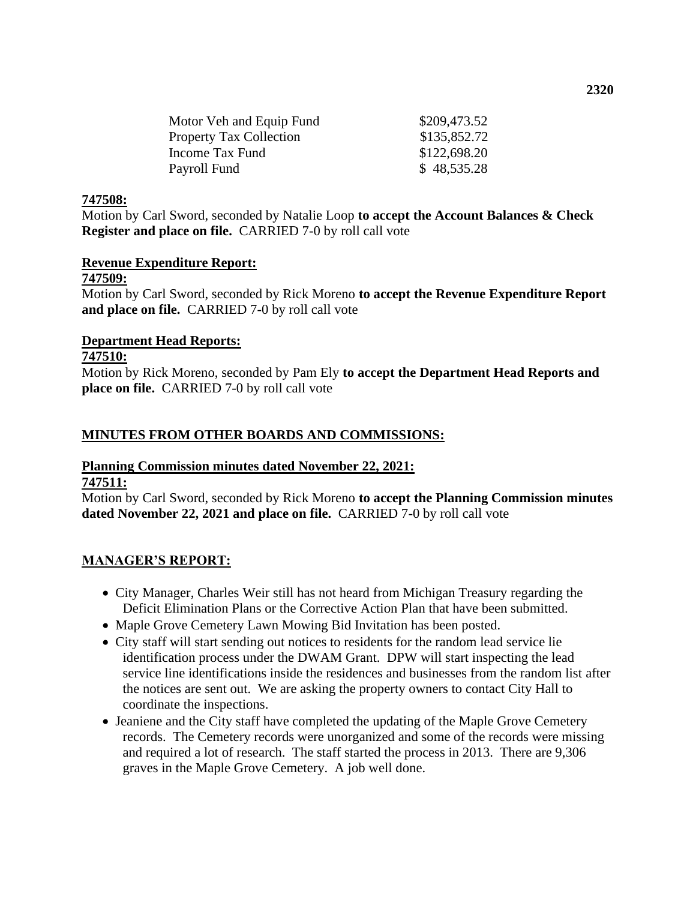| \$209,473.52 |  |  |
|--------------|--|--|
| \$135,852.72 |  |  |
| \$122,698.20 |  |  |
| \$48,535.28  |  |  |
|              |  |  |

#### **747508:**

Motion by Carl Sword, seconded by Natalie Loop **to accept the Account Balances & Check Register and place on file.** CARRIED 7-0 by roll call vote

#### **Revenue Expenditure Report:**

#### **747509:**

Motion by Carl Sword, seconded by Rick Moreno **to accept the Revenue Expenditure Report and place on file.** CARRIED 7-0 by roll call vote

#### **Department Head Reports:**

#### **747510:**

Motion by Rick Moreno, seconded by Pam Ely **to accept the Department Head Reports and place on file.** CARRIED 7-0 by roll call vote

#### **MINUTES FROM OTHER BOARDS AND COMMISSIONS:**

# **Planning Commission minutes dated November 22, 2021:**

**747511:**

Motion by Carl Sword, seconded by Rick Moreno **to accept the Planning Commission minutes dated November 22, 2021 and place on file.** CARRIED 7-0 by roll call vote

#### **MANAGER'S REPORT:**

- City Manager, Charles Weir still has not heard from Michigan Treasury regarding the Deficit Elimination Plans or the Corrective Action Plan that have been submitted.
- Maple Grove Cemetery Lawn Mowing Bid Invitation has been posted.
- City staff will start sending out notices to residents for the random lead service lie identification process under the DWAM Grant. DPW will start inspecting the lead service line identifications inside the residences and businesses from the random list after the notices are sent out. We are asking the property owners to contact City Hall to coordinate the inspections.
- Jeaniene and the City staff have completed the updating of the Maple Grove Cemetery records. The Cemetery records were unorganized and some of the records were missing and required a lot of research. The staff started the process in 2013. There are 9,306 graves in the Maple Grove Cemetery. A job well done.